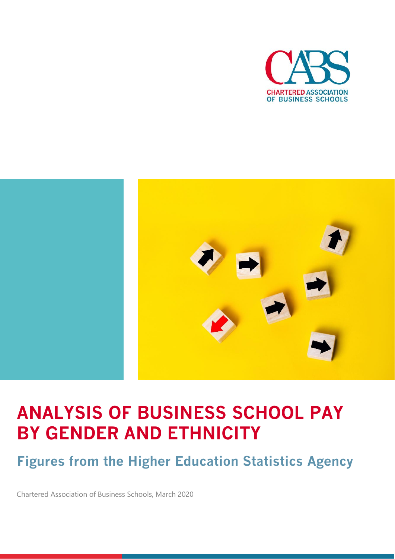



# **ANALYSIS OF BUSINESS SCHOOL PAY BY GENDER AND ETHNICITY**

**Figures from the Higher Education Statistics Agency**

Chartered Association of Business Schools, March 2020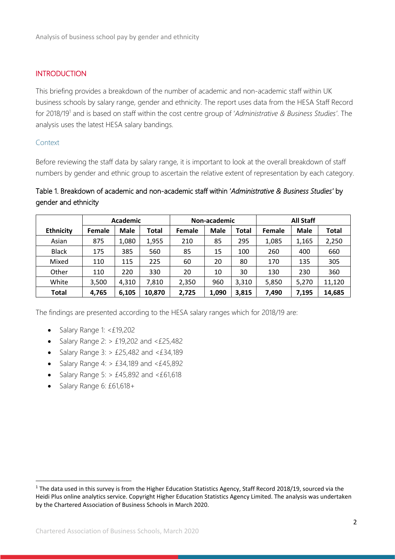#### **INTRODUCTION**

This briefing provides a breakdown of the number of academic and non-academic staff within UK business schools by salary range, gender and ethnicity. The report uses data from the HESA Staff Record for 2018/19<sup>1</sup> and is based on staff within the cost centre group of '*Administrative & Business Studies'*. The analysis uses the latest HESA salary bandings.

#### Context

Before reviewing the staff data by salary range, it is important to look at the overall breakdown of staff numbers by gender and ethnic group to ascertain the relative extent of representation by each category.

### Table 1. Breakdown of academic and non-academic staff within '*Administrative & Business Studies'* by gender and ethnicity

|                  | <b>Academic</b> |       |              | Non-academic |       |       | <b>All Staff</b> |             |              |
|------------------|-----------------|-------|--------------|--------------|-------|-------|------------------|-------------|--------------|
| <b>Ethnicity</b> | <b>Female</b>   | Male  | <b>Total</b> | Female       | Male  | Total | Female           | <b>Male</b> | <b>Total</b> |
| Asian            | 875             | 1,080 | 1,955        | 210          | 85    | 295   | 1,085            | 1,165       | 2,250        |
| <b>Black</b>     | 175             | 385   | 560          | 85           | 15    | 100   | 260              | 400         | 660          |
| Mixed            | 110             | 115   | 225          | 60           | 20    | 80    | 170              | 135         | 305          |
| Other            | 110             | 220   | 330          | 20           | 10    | 30    | 130              | 230         | 360          |
| White            | 3,500           | 4,310 | 7,810        | 2,350        | 960   | 3,310 | 5,850            | 5,270       | 11,120       |
| <b>Total</b>     | 4,765           | 6,105 | 10,870       | 2,725        | 1,090 | 3,815 | 7,490            | 7,195       | 14,685       |

The findings are presented according to the HESA salary ranges which for 2018/19 are:

- Salary Range 1: <£19,202
- Salary Range 2:  $> \pounds 19,202$  and < $\pounds 25,482$
- Salary Range  $3:$  > £25,482 and  $\leq$  £34,189
- Salary Range 4:  $> \text{\pounds}34,189$  and < $\text{\pounds}45,892$
- Salary Range 5:  $> \pm 45,892$  and  $< \pm 61,618$
- Salary Range 6: £61,618+

<sup>&</sup>lt;sup>1</sup> The data used in this survey is from the Higher Education Statistics Agency, Staff Record 2018/19, sourced via the Heidi Plus online analytics service. Copyright Higher Education Statistics Agency Limited. The analysis was undertaken by the Chartered Association of Business Schools in March 2020.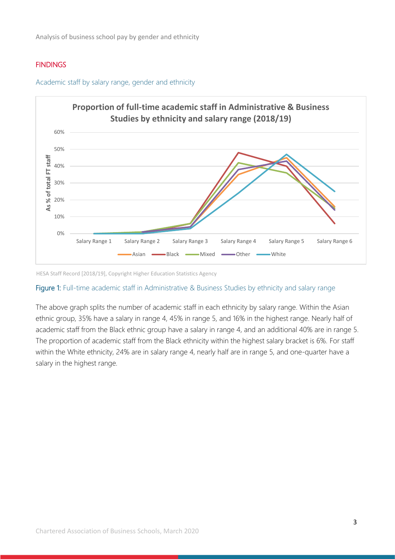Analysis of business school pay by gender and ethnicity

#### **FINDINGS**



Academic staff by salary range, gender and ethnicity

HESA Staff Record [2018/19], Copyright Higher Education Statistics Agency

## Figure 1: Full-time academic staff in Administrative & Business Studies by ethnicity and salary range

The above graph splits the number of academic staff in each ethnicity by salary range. Within the Asian ethnic group, 35% have a salary in range 4, 45% in range 5, and 16% in the highest range. Nearly half of academic staff from the Black ethnic group have a salary in range 4, and an additional 40% are in range 5. The proportion of academic staff from the Black ethnicity within the highest salary bracket is 6%. For staff within the White ethnicity, 24% are in salary range 4, nearly half are in range 5, and one-quarter have a salary in the highest range.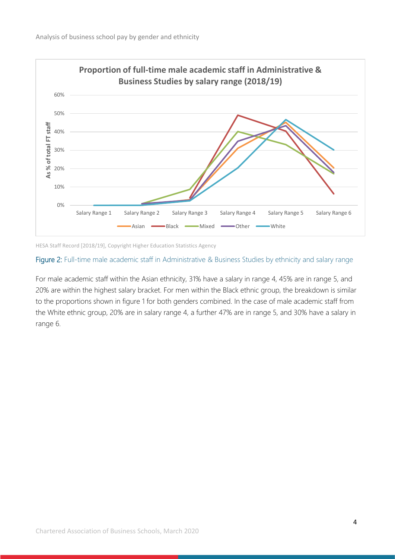

HESA Staff Record [2018/19], Copyright Higher Education Statistics Agency

## Figure 2: Full-time male academic staff in Administrative & Business Studies by ethnicity and salary range

For male academic staff within the Asian ethnicity, 31% have a salary in range 4, 45% are in range 5, and 20% are within the highest salary bracket. For men within the Black ethnic group, the breakdown is similar to the proportions shown in figure 1 for both genders combined. In the case of male academic staff from the White ethnic group, 20% are in salary range 4, a further 47% are in range 5, and 30% have a salary in range 6.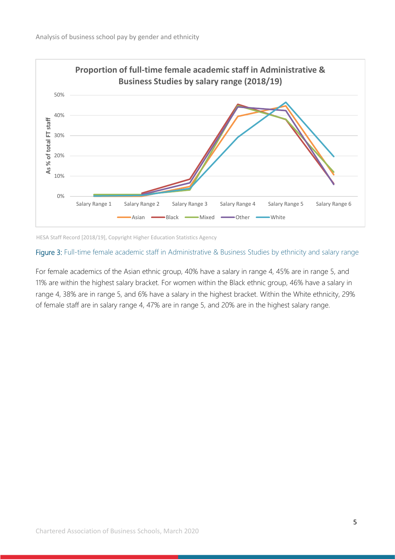

HESA Staff Record [2018/19], Copyright Higher Education Statistics Agency

## Figure 3: Full-time female academic staff in Administrative & Business Studies by ethnicity and salary range

For female academics of the Asian ethnic group, 40% have a salary in range 4, 45% are in range 5, and 11% are within the highest salary bracket. For women within the Black ethnic group, 46% have a salary in range 4, 38% are in range 5, and 6% have a salary in the highest bracket. Within the White ethnicity, 29% of female staff are in salary range 4, 47% are in range 5, and 20% are in the highest salary range.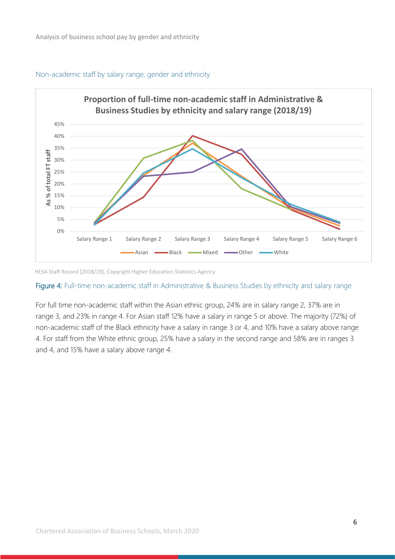

#### Non-academic staff by salary range, gender and ethnicity

HESA Staff Record [2018/19], Copyright Higher Education Statistics Agency

## Figure 4: Full-time non-academic staff in Administrative & Business Studies by ethnicity and salary range

For full time non-academic staff within the Asian ethnic group, 24% are in salary range 2, 37% are in range 3, and 23% in range 4. For Asian staff 12% have a salary in range 5 or above. The majority (72%) of non-academic staff of the Black ethnicity have a salary in range 3 or 4, and 10% have a salary above range 4. For staff from the White ethnic group, 25% have a salary in the second range and 58% are in ranges 3 and 4, and 15% have a salary above range 4.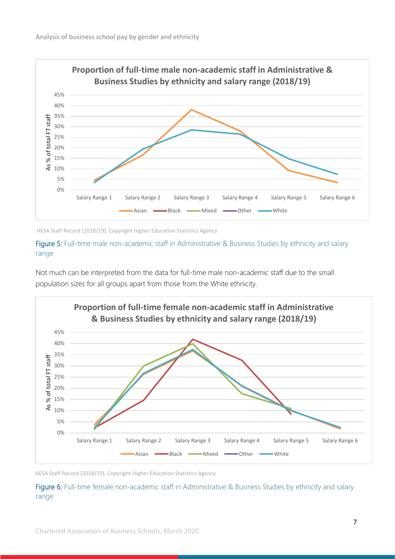

HESA Staff Record [2018/19], Copyright Higher Education Statistics Agency

## Figure 5: Full-time male non-academic staff in Administrative & Business Studies by ethnicity and salary range

Not much can be interpreted from the data for full-time male non-academic staff due to the small population sizes for all groups apart from those from the White ethnicity.



HESA Staff Record [2018/19], Copyright Higher Education Statistics Agency

Figure 6: Full-time female non-academic staff in Administrative & Business Studies by ethnicity and salary range